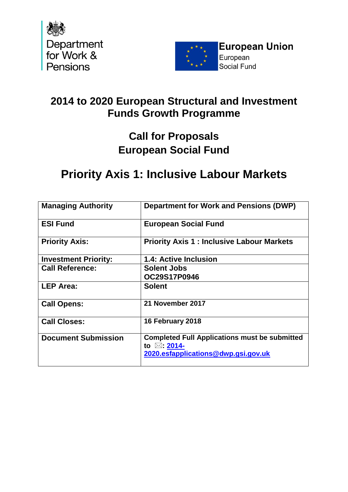



### **2014 to 2020 European Structural and Investment Funds Growth Programme**

### **Call for Proposals European Social Fund**

## **Priority Axis 1: Inclusive Labour Markets**

| <b>Managing Authority</b>   | <b>Department for Work and Pensions (DWP)</b>        |
|-----------------------------|------------------------------------------------------|
| <b>ESI Fund</b>             | <b>European Social Fund</b>                          |
| <b>Priority Axis:</b>       | <b>Priority Axis 1: Inclusive Labour Markets</b>     |
| <b>Investment Priority:</b> | <b>1.4: Active Inclusion</b>                         |
| <b>Call Reference:</b>      | <b>Solent Jobs</b>                                   |
|                             | OC29S17P0946                                         |
| <b>LEP Area:</b>            | <b>Solent</b>                                        |
| <b>Call Opens:</b>          | 21 November 2017                                     |
| <b>Call Closes:</b>         | 16 February 2018                                     |
| <b>Document Submission</b>  | <b>Completed Full Applications must be submitted</b> |
|                             | to ⊠: 2014-                                          |
|                             | 2020.esfapplications@dwp.gsi.gov.uk                  |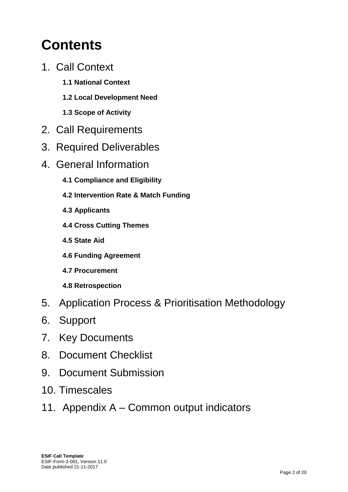# **Contents**

- 1. Call Context
	- **1.1 National Context**
	- **1.2 Local Development Need**
	- **1.3 Scope of Activity**
- 2. Call Requirements
- 3. Required Deliverables
- 4. General Information
	- **4.1 Compliance and Eligibility**
	- **4.2 Intervention Rate & Match Funding**
	- **4.3 Applicants**
	- **4.4 Cross Cutting Themes**
	- **4.5 State Aid**
	- **4.6 Funding Agreement**
	- **4.7 Procurement**
	- **4.8 Retrospection**
- 5. Application Process & Prioritisation Methodology
- 6. Support
- 7. Key Documents
- 8. Document Checklist
- 9. Document Submission
- 10. Timescales
- 11. Appendix A Common output indicators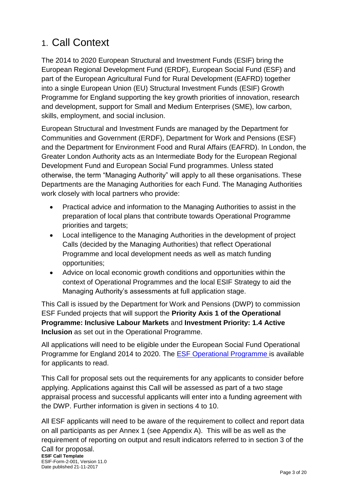### 1. Call Context

The 2014 to 2020 European Structural and Investment Funds (ESIF) bring the European Regional Development Fund (ERDF), European Social Fund (ESF) and part of the European Agricultural Fund for Rural Development (EAFRD) together into a single European Union (EU) Structural Investment Funds (ESIF) Growth Programme for England supporting the key growth priorities of innovation, research and development, support for Small and Medium Enterprises (SME), low carbon, skills, employment, and social inclusion.

European Structural and Investment Funds are managed by the Department for Communities and Government (ERDF), Department for Work and Pensions (ESF) and the Department for Environment Food and Rural Affairs (EAFRD). In London, the Greater London Authority acts as an Intermediate Body for the European Regional Development Fund and European Social Fund programmes. Unless stated otherwise, the term "Managing Authority" will apply to all these organisations. These Departments are the Managing Authorities for each Fund. The Managing Authorities work closely with local partners who provide:

- Practical advice and information to the Managing Authorities to assist in the preparation of local plans that contribute towards Operational Programme priorities and targets;
- Local intelligence to the Managing Authorities in the development of project Calls (decided by the Managing Authorities) that reflect Operational Programme and local development needs as well as match funding opportunities;
- Advice on local economic growth conditions and opportunities within the context of Operational Programmes and the local ESIF Strategy to aid the Managing Authority's assessments at full application stage.

This Call is issued by the Department for Work and Pensions (DWP) to commission ESF Funded projects that will support the **Priority Axis 1 of the Operational Programme: Inclusive Labour Markets** and **Investment Priority: 1.4 Active Inclusion** as set out in the Operational Programme.

All applications will need to be eligible under the European Social Fund Operational Programme for England 2014 to 2020. The [ESF Operational Programme](https://www.gov.uk/government/publications/european-social-fund-operational-programme-2014-to-2020) is available for applicants to read.

This Call for proposal sets out the requirements for any applicants to consider before applying. Applications against this Call will be assessed as part of a two stage appraisal process and successful applicants will enter into a funding agreement with the DWP. Further information is given in sections 4 to 10.

All ESF applicants will need to be aware of the requirement to collect and report data on all participants as per Annex 1 (see Appendix A). This will be as well as the requirement of reporting on output and result indicators referred to in section 3 of the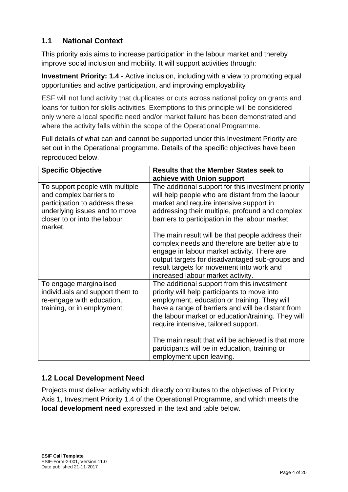#### **1.1 National Context**

This priority axis aims to increase participation in the labour market and thereby improve social inclusion and mobility. It will support activities through:

**Investment Priority: 1.4** - Active inclusion, including with a view to promoting equal opportunities and active participation, and improving employability

ESF will not fund activity that duplicates or cuts across national policy on grants and loans for tuition for skills activities. Exemptions to this principle will be considered only where a local specific need and/or market failure has been demonstrated and where the activity falls within the scope of the Operational Programme.

Full details of what can and cannot be supported under this Investment Priority are set out in the Operational programme. Details of the specific objectives have been reproduced below.

| <b>Specific Objective</b>                                                                                                                                     | <b>Results that the Member States seek to</b>                                                                                                                                                                                                                                                  |
|---------------------------------------------------------------------------------------------------------------------------------------------------------------|------------------------------------------------------------------------------------------------------------------------------------------------------------------------------------------------------------------------------------------------------------------------------------------------|
|                                                                                                                                                               | achieve with Union support                                                                                                                                                                                                                                                                     |
| To support people with multiple<br>and complex barriers to<br>participation to address these<br>underlying issues and to move<br>closer to or into the labour | The additional support for this investment priority<br>will help people who are distant from the labour<br>market and require intensive support in<br>addressing their multiple, profound and complex<br>barriers to participation in the labour market.                                       |
| market.                                                                                                                                                       | The main result will be that people address their<br>complex needs and therefore are better able to<br>engage in labour market activity. There are<br>output targets for disadvantaged sub-groups and<br>result targets for movement into work and<br>increased labour market activity.        |
| To engage marginalised<br>individuals and support them to<br>re-engage with education,<br>training, or in employment.                                         | The additional support from this investment<br>priority will help participants to move into<br>employment, education or training. They will<br>have a range of barriers and will be distant from<br>the labour market or education/training. They will<br>require intensive, tailored support. |
|                                                                                                                                                               | The main result that will be achieved is that more<br>participants will be in education, training or<br>employment upon leaving.                                                                                                                                                               |

#### **1.2 Local Development Need**

Projects must deliver activity which directly contributes to the objectives of Priority Axis 1, Investment Priority 1.4 of the Operational Programme, and which meets the **local development need** expressed in the text and table below.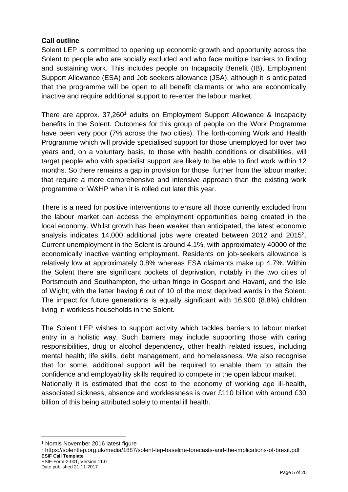#### **Call outline**

Solent LEP is committed to opening up economic growth and opportunity across the Solent to people who are socially excluded and who face multiple barriers to finding and sustaining work. This includes people on Incapacity Benefit (IB), Employment Support Allowance (ESA) and Job seekers allowance (JSA), although it is anticipated that the programme will be open to all benefit claimants or who are economically inactive and require additional support to re-enter the labour market.

There are approx. 37,260<sup>1</sup> adults on Employment Support Allowance & Incapacity benefits in the Solent. Outcomes for this group of people on the Work Programme have been very poor (7% across the two cities). The forth-coming Work and Health Programme which will provide specialised support for those unemployed for over two years and, on a voluntary basis, to those with health conditions or disabilities, will target people who with specialist support are likely to be able to find work within 12 months. So there remains a gap in provision for those further from the labour market that require a more comprehensive and intensive approach than the existing work programme or W&HP when it is rolled out later this year.

There is a need for positive interventions to ensure all those currently excluded from the labour market can access the employment opportunities being created in the local economy. Whilst growth has been weaker than anticipated, the latest economic analysis indicates 14,000 additional jobs were created between 2012 and 2015<sup>2</sup>. Current unemployment in the Solent is around 4.1%, with approximately 40000 of the economically inactive wanting employment. Residents on job-seekers allowance is relatively low at approximately 0.8% whereas ESA claimants make up 4.7%. Within the Solent there are significant pockets of deprivation, notably in the two cities of Portsmouth and Southampton, the urban fringe in Gosport and Havant, and the Isle of Wight; with the latter having 6 out of 10 of the most deprived wards in the Solent. The impact for future generations is equally significant with 16,900 (8.8%) children living in workless households in the Solent.

The Solent LEP wishes to support activity which tackles barriers to labour market entry in a holistic way. Such barriers may include supporting those with caring responsibilities, drug or alcohol dependency, other health related issues, including mental health; life skills, debt management, and homelessness. We also recognise that for some, additional support will be required to enable them to attain the confidence and employability skills required to compete in the open labour market. Nationally it is estimated that the cost to the economy of working age ill-health, associated sickness, absence and worklessness is over £110 billion with around £30 billion of this being attributed solely to mental ill health.

 $\overline{a}$ 

<sup>1</sup> Nomis November 2016 latest figure

**ESIF Call Template** ESIF-Form-2-001, Version 11.0 <sup>2</sup> https://solentlep.org.uk/media/1887/solent-lep-baseline-forecasts-and-the-implications-of-brexit.pdf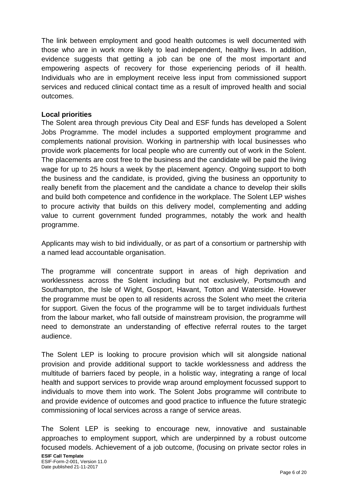The link between employment and good health outcomes is well documented with those who are in work more likely to lead independent, healthy lives. In addition, evidence suggests that getting a job can be one of the most important and empowering aspects of recovery for those experiencing periods of ill health. Individuals who are in employment receive less input from commissioned support services and reduced clinical contact time as a result of improved health and social outcomes.

#### **Local priorities**

The Solent area through previous City Deal and ESF funds has developed a Solent Jobs Programme. The model includes a supported employment programme and complements national provision. Working in partnership with local businesses who provide work placements for local people who are currently out of work in the Solent. The placements are cost free to the business and the candidate will be paid the living wage for up to 25 hours a week by the placement agency. Ongoing support to both the business and the candidate, is provided, giving the business an opportunity to really benefit from the placement and the candidate a chance to develop their skills and build both competence and confidence in the workplace. The Solent LEP wishes to procure activity that builds on this delivery model, complementing and adding value to current government funded programmes, notably the work and health programme.

Applicants may wish to bid individually, or as part of a consortium or partnership with a named lead accountable organisation.

The programme will concentrate support in areas of high deprivation and worklessness across the Solent including but not exclusively, Portsmouth and Southampton, the Isle of Wight, Gosport, Havant, Totton and Waterside. However the programme must be open to all residents across the Solent who meet the criteria for support. Given the focus of the programme will be to target individuals furthest from the labour market, who fall outside of mainstream provision, the programme will need to demonstrate an understanding of effective referral routes to the target audience.

The Solent LEP is looking to procure provision which will sit alongside national provision and provide additional support to tackle worklessness and address the multitude of barriers faced by people, in a holistic way, integrating a range of local health and support services to provide wrap around employment focussed support to individuals to move them into work. The Solent Jobs programme will contribute to and provide evidence of outcomes and good practice to influence the future strategic commissioning of local services across a range of service areas.

The Solent LEP is seeking to encourage new, innovative and sustainable approaches to employment support, which are underpinned by a robust outcome focused models. Achievement of a job outcome, (focusing on private sector roles in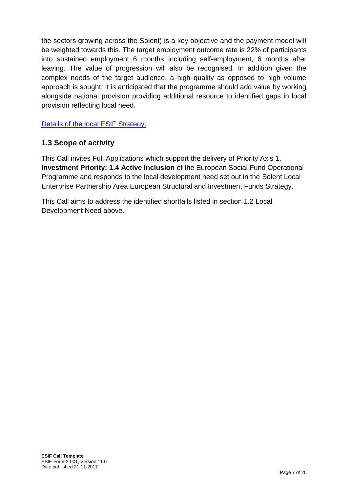the sectors growing across the Solent) is a key objective and the payment model will be weighted towards this. The target employment outcome rate is 22% of participants into sustained employment 6 months including self-employment, 6 months after leaving. The value of progression will also be recognised. In addition given the complex needs of the target audience, a high quality as opposed to high volume approach is sought. It is anticipated that the programme should add value by working alongside national provision providing additional resource to identified gaps in local provision reflecting local need.

[Details of the local ESIF Strategy.](https://solentlep.org.uk/media/1613/solent-eu-sif-strategy-april-2016.pdf)

#### **1.3 Scope of activity**

This Call invites Full Applications which support the delivery of Priority Axis 1, **Investment Priority: 1.4 Active Inclusion** of the European Social Fund Operational Programme and responds to the local development need set out in the Solent Local Enterprise Partnership Area European Structural and Investment Funds Strategy.

This Call aims to address the identified shortfalls listed in section 1.2 Local Development Need above.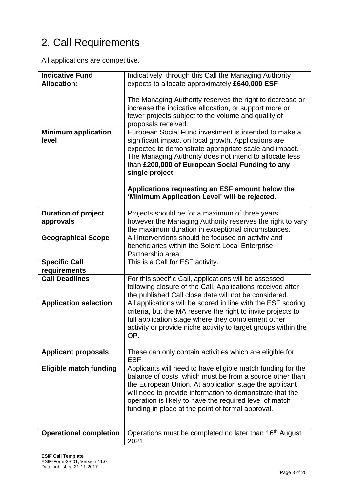# 2. Call Requirements

All applications are competitive.

| <b>Indicative Fund</b><br><b>Allocation:</b> | Indicatively, through this Call the Managing Authority<br>expects to allocate approximately £640,000 ESF                                                                                                                                                                                                                                                      |  |
|----------------------------------------------|---------------------------------------------------------------------------------------------------------------------------------------------------------------------------------------------------------------------------------------------------------------------------------------------------------------------------------------------------------------|--|
|                                              | The Managing Authority reserves the right to decrease or<br>increase the indicative allocation, or support more or<br>fewer projects subject to the volume and quality of<br>proposals received.                                                                                                                                                              |  |
| <b>Minimum application</b><br>level          | European Social Fund investment is intended to make a<br>significant impact on local growth. Applications are<br>expected to demonstrate appropriate scale and impact.<br>The Managing Authority does not intend to allocate less<br>than £200,000 of European Social Funding to any<br>single project.<br>Applications requesting an ESF amount below the    |  |
|                                              | 'Minimum Application Level' will be rejected.                                                                                                                                                                                                                                                                                                                 |  |
| <b>Duration of project</b><br>approvals      | Projects should be for a maximum of three years;<br>however the Managing Authority reserves the right to vary<br>the maximum duration in exceptional circumstances.                                                                                                                                                                                           |  |
| <b>Geographical Scope</b>                    | All interventions should be focused on activity and<br>beneficiaries within the Solent Local Enterprise<br>Partnership area.                                                                                                                                                                                                                                  |  |
| <b>Specific Call</b><br>requirements         | This is a Call for ESF activity.                                                                                                                                                                                                                                                                                                                              |  |
| <b>Call Deadlines</b>                        | For this specific Call, applications will be assessed<br>following closure of the Call. Applications received after<br>the published Call close date will not be considered.                                                                                                                                                                                  |  |
| <b>Application selection</b>                 | All applications will be scored in line with the ESF scoring<br>criteria, but the MA reserve the right to invite projects to<br>full application stage where they complement other<br>activity or provide niche activity to target groups within the<br>OP.                                                                                                   |  |
| <b>Applicant proposals</b>                   | These can only contain activities which are eligible for<br><b>ESF</b>                                                                                                                                                                                                                                                                                        |  |
| <b>Eligible match funding</b>                | Applicants will need to have eligible match funding for the<br>balance of costs, which must be from a source other than<br>the European Union. At application stage the applicant<br>will need to provide information to demonstrate that the<br>operation is likely to have the required level of match<br>funding in place at the point of formal approval. |  |
| <b>Operational completion</b>                | Operations must be completed no later than 16 <sup>th</sup> August<br>2021.                                                                                                                                                                                                                                                                                   |  |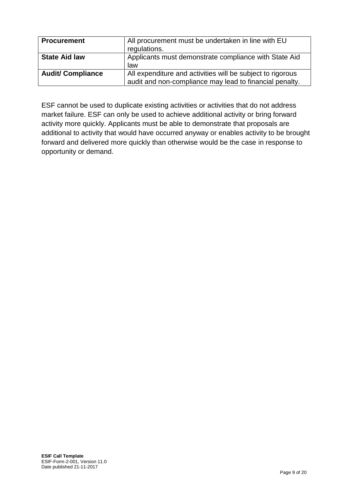| <b>Procurement</b>       | All procurement must be undertaken in line with EU<br>regulations.                                                    |  |
|--------------------------|-----------------------------------------------------------------------------------------------------------------------|--|
| <b>State Aid law</b>     | Applicants must demonstrate compliance with State Aid<br>law                                                          |  |
| <b>Audit/ Compliance</b> | All expenditure and activities will be subject to rigorous<br>audit and non-compliance may lead to financial penalty. |  |

ESF cannot be used to duplicate existing activities or activities that do not address market failure. ESF can only be used to achieve additional activity or bring forward activity more quickly. Applicants must be able to demonstrate that proposals are additional to activity that would have occurred anyway or enables activity to be brought forward and delivered more quickly than otherwise would be the case in response to opportunity or demand.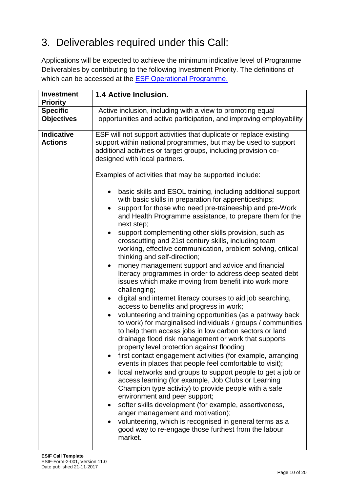### 3. Deliverables required under this Call:

Applications will be expected to achieve the minimum indicative level of Programme Deliverables by contributing to the following Investment Priority. The definitions of which can be accessed at the **ESF Operational Programme.** 

| <b>Investment</b><br><b>Priority</b> | 1.4 Active Inclusion.                                                                                                                                                                                                                                                                                                                                                                                                                                                                                                                                                                                                                                                                                                                                                                                                                                                                                                                                                                                                                                                                                                                                                                                                                                                                                                                                                                                                                                                                                                                                                                                                                                                                                                                                              |  |
|--------------------------------------|--------------------------------------------------------------------------------------------------------------------------------------------------------------------------------------------------------------------------------------------------------------------------------------------------------------------------------------------------------------------------------------------------------------------------------------------------------------------------------------------------------------------------------------------------------------------------------------------------------------------------------------------------------------------------------------------------------------------------------------------------------------------------------------------------------------------------------------------------------------------------------------------------------------------------------------------------------------------------------------------------------------------------------------------------------------------------------------------------------------------------------------------------------------------------------------------------------------------------------------------------------------------------------------------------------------------------------------------------------------------------------------------------------------------------------------------------------------------------------------------------------------------------------------------------------------------------------------------------------------------------------------------------------------------------------------------------------------------------------------------------------------------|--|
| <b>Specific</b><br><b>Objectives</b> | Active inclusion, including with a view to promoting equal<br>opportunities and active participation, and improving employability                                                                                                                                                                                                                                                                                                                                                                                                                                                                                                                                                                                                                                                                                                                                                                                                                                                                                                                                                                                                                                                                                                                                                                                                                                                                                                                                                                                                                                                                                                                                                                                                                                  |  |
| Indicative<br><b>Actions</b>         | ESF will not support activities that duplicate or replace existing<br>support within national programmes, but may be used to support<br>additional activities or target groups, including provision co-<br>designed with local partners.                                                                                                                                                                                                                                                                                                                                                                                                                                                                                                                                                                                                                                                                                                                                                                                                                                                                                                                                                                                                                                                                                                                                                                                                                                                                                                                                                                                                                                                                                                                           |  |
|                                      | Examples of activities that may be supported include:                                                                                                                                                                                                                                                                                                                                                                                                                                                                                                                                                                                                                                                                                                                                                                                                                                                                                                                                                                                                                                                                                                                                                                                                                                                                                                                                                                                                                                                                                                                                                                                                                                                                                                              |  |
|                                      | basic skills and ESOL training, including additional support<br>٠<br>with basic skills in preparation for apprenticeships;<br>support for those who need pre-traineeship and pre-Work<br>$\bullet$<br>and Health Programme assistance, to prepare them for the<br>next step;<br>support complementing other skills provision, such as<br>$\bullet$<br>crosscutting and 21st century skills, including team<br>working, effective communication, problem solving, critical<br>thinking and self-direction;<br>money management support and advice and financial<br>$\bullet$<br>literacy programmes in order to address deep seated debt<br>issues which make moving from benefit into work more<br>challenging;<br>digital and internet literacy courses to aid job searching,<br>$\bullet$<br>access to benefits and progress in work;<br>volunteering and training opportunities (as a pathway back<br>$\bullet$<br>to work) for marginalised individuals / groups / communities<br>to help them access jobs in low carbon sectors or land<br>drainage flood risk management or work that supports<br>property level protection against flooding;<br>first contact engagement activities (for example, arranging<br>$\bullet$<br>events in places that people feel comfortable to visit);<br>local networks and groups to support people to get a job or<br>$\bullet$<br>access learning (for example, Job Clubs or Learning<br>Champion type activity) to provide people with a safe<br>environment and peer support;<br>softer skills development (for example, assertiveness,<br>$\bullet$<br>anger management and motivation);<br>volunteering, which is recognised in general terms as a<br>good way to re-engage those furthest from the labour<br>market. |  |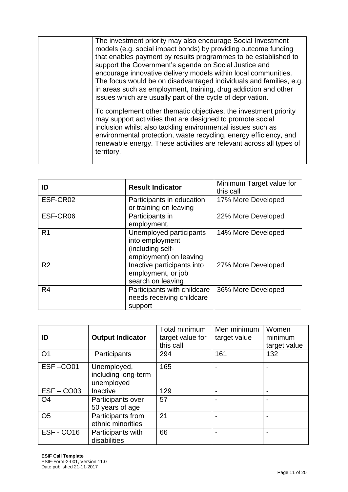| The investment priority may also encourage Social Investment<br>models (e.g. social impact bonds) by providing outcome funding<br>that enables payment by results programmes to be established to<br>support the Government's agenda on Social Justice and<br>encourage innovative delivery models within local communities.<br>The focus would be on disadvantaged individuals and families, e.g.<br>in areas such as employment, training, drug addiction and other<br>issues which are usually part of the cycle of deprivation. |
|-------------------------------------------------------------------------------------------------------------------------------------------------------------------------------------------------------------------------------------------------------------------------------------------------------------------------------------------------------------------------------------------------------------------------------------------------------------------------------------------------------------------------------------|
| To complement other thematic objectives, the investment priority<br>may support activities that are designed to promote social<br>inclusion whilst also tackling environmental issues such as<br>environmental protection, waste recycling, energy efficiency, and<br>renewable energy. These activities are relevant across all types of<br>territory.                                                                                                                                                                             |

| ID             | Minimum Target value for<br><b>Result Indicator</b><br>this call                         |                    |
|----------------|------------------------------------------------------------------------------------------|--------------------|
| ESF-CR02       | Participants in education<br>or training on leaving                                      | 17% More Developed |
| ESF-CR06       | Participants in<br>employment,                                                           | 22% More Developed |
| R <sub>1</sub> | Unemployed participants<br>into employment<br>(including self-<br>employment) on leaving | 14% More Developed |
| R <sub>2</sub> | Inactive participants into<br>employment, or job<br>search on leaving                    | 27% More Developed |
| R <sub>4</sub> | Participants with childcare<br>needs receiving childcare<br>support                      | 36% More Developed |

| ID             | <b>Output Indicator</b>                          | Total minimum<br>target value for<br>this call | Men minimum<br>target value | Women<br>minimum<br>target value |
|----------------|--------------------------------------------------|------------------------------------------------|-----------------------------|----------------------------------|
| O <sub>1</sub> | Participants                                     | 294                                            | 161                         | 132                              |
| ESF-CO01       | Unemployed,<br>including long-term<br>unemployed | 165                                            |                             |                                  |
| $ESF - COO3$   | <b>Inactive</b>                                  | 129                                            |                             |                                  |
| O <sub>4</sub> | Participants over<br>50 years of age             | 57                                             |                             |                                  |
| O <sub>5</sub> | Participants from<br>ethnic minorities           | 21                                             |                             |                                  |
| ESF-CO16       | Participants with<br>disabilities                | 66                                             |                             |                                  |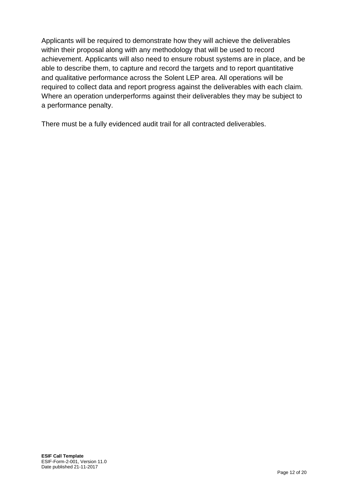Applicants will be required to demonstrate how they will achieve the deliverables within their proposal along with any methodology that will be used to record achievement. Applicants will also need to ensure robust systems are in place, and be able to describe them, to capture and record the targets and to report quantitative and qualitative performance across the Solent LEP area. All operations will be required to collect data and report progress against the deliverables with each claim. Where an operation underperforms against their deliverables they may be subject to a performance penalty.

There must be a fully evidenced audit trail for all contracted deliverables.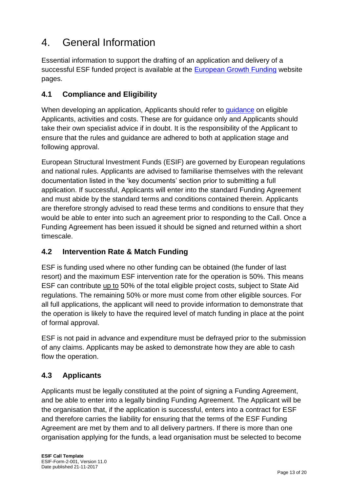### 4. General Information

Essential information to support the drafting of an application and delivery of a successful ESF funded project is available at the [European Growth Funding](https://www.gov.uk/european-growth-funding) website pages.

#### **4.1 Compliance and Eligibility**

When developing an application, Applicants should refer to *guidance* on eligible Applicants, activities and costs. These are for guidance only and Applicants should take their own specialist advice if in doubt. It is the responsibility of the Applicant to ensure that the rules and guidance are adhered to both at application stage and following approval.

European Structural Investment Funds (ESIF) are governed by European regulations and national rules. Applicants are advised to familiarise themselves with the relevant documentation listed in the 'key documents' section prior to submitting a full application. If successful, Applicants will enter into the standard Funding Agreement and must abide by the standard terms and conditions contained therein. Applicants are therefore strongly advised to read these terms and conditions to ensure that they would be able to enter into such an agreement prior to responding to the Call. Once a Funding Agreement has been issued it should be signed and returned within a short timescale.

#### **4.2 Intervention Rate & Match Funding**

ESF is funding used where no other funding can be obtained (the funder of last resort) and the maximum ESF intervention rate for the operation is 50%. This means ESF can contribute up to 50% of the total eligible project costs, subject to State Aid regulations. The remaining 50% or more must come from other eligible sources. For all full applications, the applicant will need to provide information to demonstrate that the operation is likely to have the required level of match funding in place at the point of formal approval.

ESF is not paid in advance and expenditure must be defrayed prior to the submission of any claims. Applicants may be asked to demonstrate how they are able to cash flow the operation.

#### **4.3 Applicants**

Applicants must be legally constituted at the point of signing a Funding Agreement, and be able to enter into a legally binding Funding Agreement. The Applicant will be the organisation that, if the application is successful, enters into a contract for ESF and therefore carries the liability for ensuring that the terms of the ESF Funding Agreement are met by them and to all delivery partners. If there is more than one organisation applying for the funds, a lead organisation must be selected to become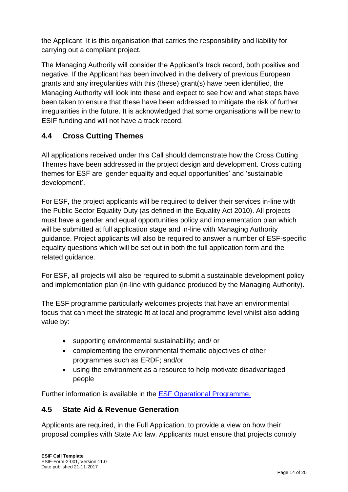the Applicant. It is this organisation that carries the responsibility and liability for carrying out a compliant project.

The Managing Authority will consider the Applicant's track record, both positive and negative. If the Applicant has been involved in the delivery of previous European grants and any irregularities with this (these) grant(s) have been identified, the Managing Authority will look into these and expect to see how and what steps have been taken to ensure that these have been addressed to mitigate the risk of further irregularities in the future. It is acknowledged that some organisations will be new to ESIF funding and will not have a track record.

#### **4.4 Cross Cutting Themes**

All applications received under this Call should demonstrate how the Cross Cutting Themes have been addressed in the project design and development. Cross cutting themes for ESF are 'gender equality and equal opportunities' and 'sustainable development'.

For ESF, the project applicants will be required to deliver their services in-line with the Public Sector Equality Duty (as defined in the Equality Act 2010). All projects must have a gender and equal opportunities policy and implementation plan which will be submitted at full application stage and in-line with Managing Authority guidance. Project applicants will also be required to answer a number of ESF-specific equality questions which will be set out in both the full application form and the related guidance.

For ESF, all projects will also be required to submit a sustainable development policy and implementation plan (in-line with guidance produced by the Managing Authority).

The ESF programme particularly welcomes projects that have an environmental focus that can meet the strategic fit at local and programme level whilst also adding value by:

- supporting environmental sustainability; and/ or
- complementing the environmental thematic objectives of other programmes such as ERDF; and/or
- using the environment as a resource to help motivate disadvantaged people

Further information is available in the [ESF Operational Programme.](https://www.gov.uk/government/publications/european-social-fund-operational-programme-2014-to-2020)

#### **4.5 State Aid & Revenue Generation**

Applicants are required, in the Full Application, to provide a view on how their proposal complies with State Aid law. Applicants must ensure that projects comply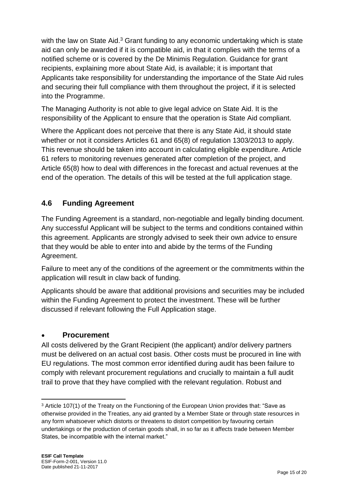with the law on State Aid.<sup>3</sup> Grant funding to any economic undertaking which is state aid can only be awarded if it is compatible aid, in that it complies with the terms of a notified scheme or is covered by the De Minimis Regulation. Guidance for grant recipients, explaining more about State Aid, is available; it is important that Applicants take responsibility for understanding the importance of the State Aid rules and securing their full compliance with them throughout the project, if it is selected into the Programme.

The Managing Authority is not able to give legal advice on State Aid. It is the responsibility of the Applicant to ensure that the operation is State Aid compliant.

Where the Applicant does not perceive that there is any State Aid, it should state whether or not it considers Articles 61 and 65(8) of regulation 1303/2013 to apply. This revenue should be taken into account in calculating eligible expenditure. Article 61 refers to monitoring revenues generated after completion of the project, and Article 65(8) how to deal with differences in the forecast and actual revenues at the end of the operation. The details of this will be tested at the full application stage.

#### **4.6 Funding Agreement**

The Funding Agreement is a standard, non-negotiable and legally binding document. Any successful Applicant will be subject to the terms and conditions contained within this agreement. Applicants are strongly advised to seek their own advice to ensure that they would be able to enter into and abide by the terms of the Funding Agreement.

Failure to meet any of the conditions of the agreement or the commitments within the application will result in claw back of funding.

Applicants should be aware that additional provisions and securities may be included within the Funding Agreement to protect the investment. These will be further discussed if relevant following the Full Application stage.

#### **Procurement**

All costs delivered by the Grant Recipient (the applicant) and/or delivery partners must be delivered on an actual cost basis. Other costs must be procured in line with EU regulations. The most common error identified during audit has been failure to comply with relevant procurement regulations and crucially to maintain a full audit trail to prove that they have complied with the relevant regulation. Robust and

 $\overline{a}$ 

<sup>&</sup>lt;sup>3</sup> Article 107(1) of the Treaty on the Functioning of the European Union provides that: "Save as otherwise provided in the Treaties, any aid granted by a Member State or through state resources in any form whatsoever which distorts or threatens to distort competition by favouring certain undertakings or the production of certain goods shall, in so far as it affects trade between Member States, be incompatible with the internal market."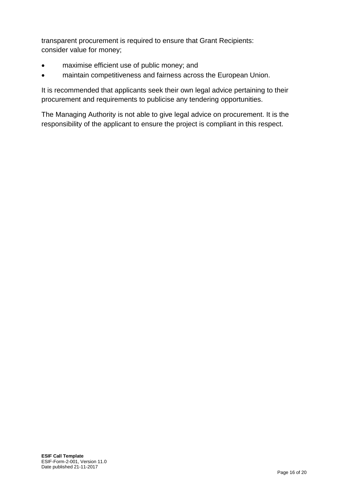transparent procurement is required to ensure that Grant Recipients: consider value for money;

- maximise efficient use of public money; and
- maintain competitiveness and fairness across the European Union.

It is recommended that applicants seek their own legal advice pertaining to their procurement and requirements to publicise any tendering opportunities.

The Managing Authority is not able to give legal advice on procurement. It is the responsibility of the applicant to ensure the project is compliant in this respect.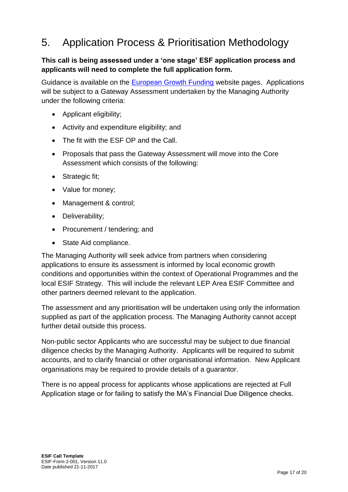### 5. Application Process & Prioritisation Methodology

#### **This call is being assessed under a 'one stage' ESF application process and applicants will need to complete the full application form.**

Guidance is available on the [European Growth Funding](https://www.gov.uk/european-growth-funding) website pages. Applications will be subject to a Gateway Assessment undertaken by the Managing Authority under the following criteria:

- Applicant eligibility;
- Activity and expenditure eligibility; and
- The fit with the ESF OP and the Call.
- Proposals that pass the Gateway Assessment will move into the Core Assessment which consists of the following:
- Strategic fit;
- Value for money:
- Management & control;
- Deliverability;
- Procurement / tendering; and
- State Aid compliance.

The Managing Authority will seek advice from partners when considering applications to ensure its assessment is informed by local economic growth conditions and opportunities within the context of Operational Programmes and the local ESIF Strategy. This will include the relevant LEP Area ESIF Committee and other partners deemed relevant to the application.

The assessment and any prioritisation will be undertaken using only the information supplied as part of the application process. The Managing Authority cannot accept further detail outside this process.

Non-public sector Applicants who are successful may be subject to due financial diligence checks by the Managing Authority. Applicants will be required to submit accounts, and to clarify financial or other organisational information. New Applicant organisations may be required to provide details of a guarantor.

There is no appeal process for applicants whose applications are rejected at Full Application stage or for failing to satisfy the MA's Financial Due Diligence checks.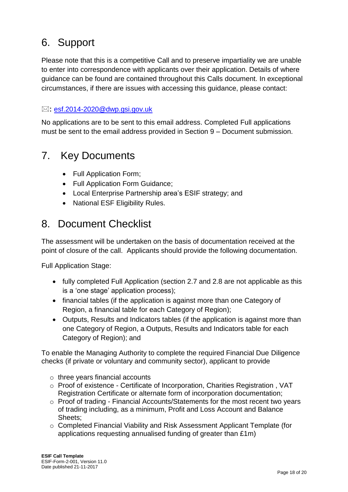### 6. Support

Please note that this is a competitive Call and to preserve impartiality we are unable to enter into correspondence with applicants over their application. Details of where guidance can be found are contained throughout this Calls document. In exceptional circumstances, if there are issues with accessing this guidance, please contact:

#### $\boxtimes$ : [esf.2014-2020@dwp.gsi.gov.uk](mailto:ESF.2014-2020@dwp.gsi.gov.uk)

No applications are to be sent to this email address. Completed Full applications must be sent to the email address provided in Section 9 – Document submission.

### 7. Key Documents

- Full Application Form;
- Full Application Form Guidance;
- Local Enterprise Partnership area's ESIF strategy; and
- National ESF Eligibility Rules.

### 8. Document Checklist

The assessment will be undertaken on the basis of documentation received at the point of closure of the call. Applicants should provide the following documentation.

Full Application Stage:

- fully completed Full Application (section 2.7 and 2.8 are not applicable as this is a 'one stage' application process);
- financial tables (if the application is against more than one Category of Region, a financial table for each Category of Region);
- Outputs, Results and Indicators tables (if the application is against more than one Category of Region, a Outputs, Results and Indicators table for each Category of Region); and

To enable the Managing Authority to complete the required Financial Due Diligence checks (if private or voluntary and community sector), applicant to provide

- o three years financial accounts
- $\circ$  Proof of existence Certificate of Incorporation, Charities Registration, VAT Registration Certificate or alternate form of incorporation documentation;
- $\circ$  Proof of trading Financial Accounts/Statements for the most recent two years of trading including, as a minimum, Profit and Loss Account and Balance Sheets;
- o Completed Financial Viability and Risk Assessment Applicant Template (for applications requesting annualised funding of greater than £1m)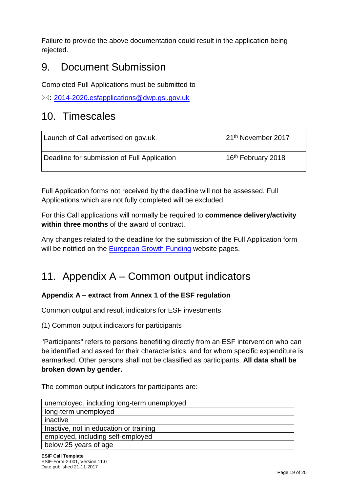Failure to provide the above documentation could result in the application being rejected.

### 9. Document Submission

Completed Full Applications must be submitted to

 $\boxtimes$ : [2014-2020.esfapplications@dwp.gsi.gov.uk](mailto:2014-2020.ESFAPPLICATIONS@DWP.GSI.GOV.UK)

### 10. Timescales

| Launch of Call advertised on gov.uk.        | 121 <sup>th</sup> November 2017 |  |
|---------------------------------------------|---------------------------------|--|
| Deadline for submission of Full Application | 16 <sup>th</sup> February 2018  |  |

Full Application forms not received by the deadline will not be assessed. Full Applications which are not fully completed will be excluded.

For this Call applications will normally be required to **commence delivery/activity within three months** of the award of contract.

Any changes related to the deadline for the submission of the Full Application form will be notified on the [European Growth Funding](https://www.gov.uk/european-growth-funding) website pages.

### 11. Appendix A – Common output indicators

#### **Appendix A – extract from Annex 1 of the ESF regulation**

Common output and result indicators for ESF investments

(1) Common output indicators for participants

"Participants" refers to persons benefiting directly from an ESF intervention who can be identified and asked for their characteristics, and for whom specific expenditure is earmarked. Other persons shall not be classified as participants. **All data shall be broken down by gender.**

The common output indicators for participants are:

| unemployed, including long-term unemployed |
|--------------------------------------------|
| long-term unemployed                       |
| inactive                                   |
| Inactive, not in education or training     |
| employed, including self-employed          |
| below 25 years of age                      |